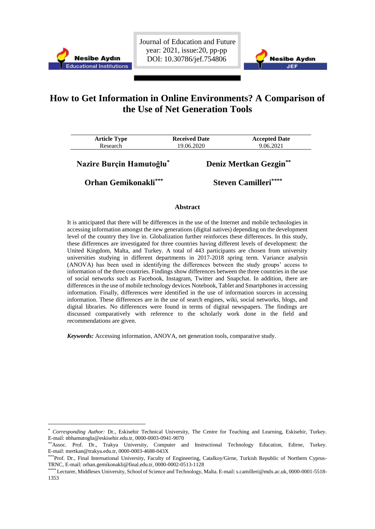

<u>.</u>

Journal of Education and Future year: 2021, issue:20, pp-pp DOI: 10.30786/jef.754806



# **How to Get Information in Online Environments? A Comparison of the Use of Net Generation Tools**

| <b>Article Type</b><br>Research | <b>Received Date</b><br>19.06.2020 | <b>Accepted Date</b><br>9.06.2021 |  |
|---------------------------------|------------------------------------|-----------------------------------|--|
| Nazire Burçin Hamutoğlu*        |                                    | Deniz Mertkan Gezgin**            |  |
| <b>Orhan Gemikonakli***</b>     |                                    | <b>Steven Camilleri****</b>       |  |

## **Abstract**

It is anticipated that there will be differences in the use of the Internet and mobile technologies in accessing information amongst the new generations (digital natives) depending on the development level of the country they live in. Globalization further reinforces these differences. In this study, these differences are investigated for three countries having different levels of development: the United Kingdom, Malta, and Turkey. A total of 443 participants are chosen from university universities studying in different departments in 2017-2018 spring term. Variance analysis (ANOVA) has been used in identifying the differences between the study groups' access to information of the three countries. Findings show differences between the three countries in the use of social networks such as Facebook, Instagram, Twitter and Snapchat. In addition, there are differences in the use of mobile technology devices Notebook, Tablet and Smartphones in accessing information. Finally, differences were identified in the use of information sources in accessing information. These differences are in the use of search engines, wiki, social networks, blogs, and digital libraries. No differences were found in terms of digital newspapers. The findings are discussed comparatively with reference to the scholarly work done in the field and recommendations are given.

*Keywords:* Accessing information, ANOVA, net generation tools, comparative study.

<sup>\*</sup> *Corresponding Author:* Dr., Eskisehir Technical University, The Centre for Teaching and Learning, Eskisehir, Turkey. E-mail: nbhamutoglu@eskisehir.edu.tr, 0000-0003-0941-9070

<sup>\*\*</sup>Assoc. Prof. Dr., Trakya University, Computer and Instructional Technology Education, Edirne, Turkey. E-mail: mertkan@trakya.edu.tr, 0000-0003-4688-043X

<sup>\*\*\*</sup>Prof. Dr., Final International University, Faculty of Engineering, Catalkoy/Girne, Turkish Republic of Northern Cyprus-TRNC, E-mail: orhan.gemikonakli@final.edu.tr, 0000-0002-0513-1128

<sup>\*\*\*\*</sup> Lecturer, Middlesex University, School of Science and Technology, Malta. E-mail:s.camilleri@mdx.ac.uk, 0000-0001-5518- 1353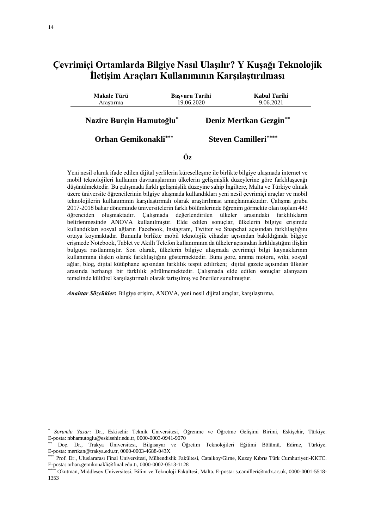## **Çevrimiçi Ortamlarda Bilgiye Nasıl Ulaşılır? Y Kuşağı Teknolojik İletişim Araçları Kullanımının Karşılaştırılması**

| <b>Makale Türü</b><br>Arastırma | <b>Basvuru Tarihi</b><br>19.06.2020 |  | Kabul Tarihi<br>9.06.2021   |  |
|---------------------------------|-------------------------------------|--|-----------------------------|--|
| Nazire Burçin Hamutoğlu*        |                                     |  | Deniz Mertkan Gezgin**      |  |
| <b>Orhan Gemikonakli***</b>     |                                     |  | <b>Steven Camilleri****</b> |  |

**Öz**

Yeni nesil olarak ifade edilen dijital yerlilerin küreselleşme ile birlikte bilgiye ulaşmada internet ve mobil teknolojileri kullanım davranışlarının ülkelerin gelişmişlik düzeylerine göre farklılaşacağı düşünülmektedir. Bu çalışmada farklı gelişmişlik düzeyine sahip İngiltere, Malta ve Türkiye olmak üzere üniversite öğrencilerinin bilgiye ulaşmada kullandıkları yeni nesil çevrimiçi araçlar ve mobil teknolojilerin kullanımının karşılaştırmalı olarak araştırılması amaçlanmaktadır. Çalışma grubu 2017-2018 bahar döneminde üniversitelerin farklı bölümlerinde öğrenim görmekte olan toplam 443 öğrenciden oluşmaktadır. Çalışmada değerlendirilen ülkeler arasındaki farklılıkların belirlenmesinde ANOVA kullanılmıştır. Elde edilen sonuçlar, ülkelerin bilgiye erişimde kullandıkları sosyal ağların Facebook, Instagram, Twitter ve Snapchat açısından farklılaştığını ortaya koymaktadır. Bununla birlikte mobil teknolojik cihazlar açısından bakıldığında bilgiye erişmede Notebook, Tablet ve Akıllı Telefon kullanımının da ülkeler açısından farklılaştığını ilişkin bulguya rastlanmıştır. Son olarak, ülkelerin bilgiye ulaşmada çevrimiçi bilgi kaynaklarının kullanımına ilişkin olarak farklılaştığını göstermektedir. Buna gore, arama motoru, wiki, sosyal ağlar, blog, dijital kütüphane açısından farklılık tespit edilirken; dijital gazete açısından ülkeler arasında herhangi bir farklılık görülmemektedir. Çalışmada elde edilen sonuçlar alanyazın temelinde kültürel karşılaştırmalı olarak tartışılmış ve öneriler sunulmuştur.

*Anahtar Sözcükler:* Bilgiye erişim, ANOVA, yeni nesil dijital araçlar, karşılaştırma.

<u>.</u>

<sup>\*</sup> *Sorumlu Yazar:* Dr., Eskisehir Teknik Üniversitesi, Öğrenme ve Öğretme Gelişimi Birimi, Eskişehir, Türkiye. E-posta: nbhamutoglu@eskisehir.edu.tr, 0000-0003-0941-9070

Doc. Dr., Trakya Üniversitesi, Bilgisayar ve Öğretim Teknolojileri Eğitimi Bölümü, Edirne, Türkiye. E-posta: mertkan@trakya.edu.tr, 0000-0003-4688-043X

<sup>\*\*\*</sup> Prof. Dr., Uluslararası Final Universitesi, Mühendislik Fakültesi, Catalkoy/Girne, Kuzey Kıbrıs Türk Cumhuriyeti-KKTC. E-posta: orhan.gemikonakli@final.edu.tr, 0000-0002-0513-1128

<sup>\*\*\*\*</sup> Okutman, Middlesex Üniversitesi, Bilim ve Teknoloji Fakültesi, Malta. E-posta: s.camilleri@mdx.ac.uk, 0000-0001-5518- 1353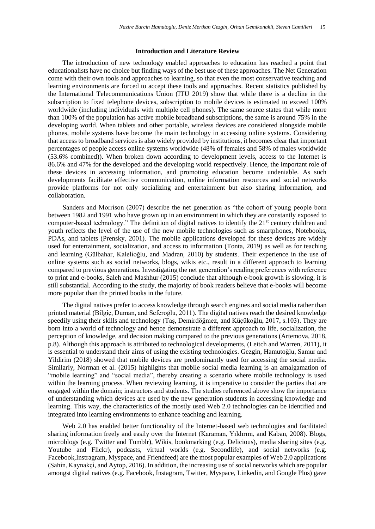## **Introduction and Literature Review**

The introduction of new technology enabled approaches to education has reached a point that educationalists have no choice but finding ways of the best use of these approaches. The Net Generation come with their own tools and approaches to learning, so that even the most conservative teaching and learning environments are forced to accept these tools and approaches. Recent statistics published by the International Telecommunications Union (ITU 2019) show that while there is a decline in the subscription to fixed telephone devices, subscription to mobile devices is estimated to exceed 100% worldwide (including individuals with multiple cell phones). The same source states that while more than 100% of the population has active mobile broadband subscriptions, the same is around 75% in the developing world. When tablets and other portable, wireless devices are considered alongside mobile phones, mobile systems have become the main technology in accessing online systems. Considering that access to broadband services is also widely provided by institutions, it becomes clear that important percentages of people access online systems worldwide (48% of females and 58% of males worldwide (53.6% combined)). When broken down according to development levels, access to the Internet is 86.6% and 47% for the developed and the developing world respectively. Hence, the important role of these devices in accessing information, and promoting education become undeniable. As such developments facilitate effective communication, online information resources and social networks provide platforms for not only socializing and entertainment but also sharing information, and collaboration.

Sanders and Morrison (2007) describe the net generation as "the cohort of young people born between 1982 and 1991 who have grown up in an environment in which they are constantly exposed to computer-based technology." The definition of digital natives to identify the 21<sup>st</sup> century children and youth reflects the level of the use of the new mobile technologies such as smartphones, Notebooks, PDAs, and tablets (Prensky, 2001). The mobile applications developed for these devices are widely used for entertainment, socialization, and access to information (Tonta, 2019) as well as for teaching and learning (Gülbahar, Kalelioğlu, and Madran, 2010) by students. Their experience in the use of online systems such as social networks, blogs, wikis etc., result in a different approach to learning compared to previous generations. Investigating the net generation's reading preferences with reference to print and e-books, Saleh and Mashhur (2015) conclude that although e-book growth is slowing, it is still substantial. According to the study, the majority of book readers believe that e-books will become more popular than the printed books in the future.

The digital natives prefer to access knowledge through search engines and social media rather than printed material (Bilgiç, Duman, and Seferoğlu, 2011). The digital natives reach the desired knowledge speedily using their skills and technology (Taş, Demirdöğmez, and Küçükoğlu, 2017, s.103). They are born into a world of technology and hence demonstrate a different approach to life, socialization, the perception of knowledge, and decision making compared to the previous generations (Artemova, 2018, p.8). Although this approach is attributed to technological developments, (Leitch and Warren, 2011), it is essential to understand their aims of using the existing technologies. Gezgin, Hamutoğlu, Samur and Yildirim (2018) showed that mobile devices are predominantly used for accessing the social media. Similarly, Norman et al. (2015) highlights that mobile social media learning is an amalgamation of "mobile learning" and "social media", thereby creating a scenario where mobile technology is used within the learning process. When reviewing learning, it is imperative to consider the parties that are engaged within the domain; instructors and students. The studies referenced above show the importance of understanding which devices are used by the new generation students in accessing knowledge and learning. This way, the characteristics of the mostly used Web 2.0 technologies can be identified and integrated into learning environments to enhance teaching and learning.

Web 2.0 has enabled better functionality of the Internet-based web technologies and facilitated sharing information freely and easily over the Internet (Karaman, Yıldırım, and Kaban, 2008). Blogs, microblogs (e.g. Twitter and Tumblr), Wikis, bookmarking (e.g. Delicious), media sharing sites (e.g. Youtube and Flickr), podcasts, virtual worlds (e.g. Secondlife), and social networks (e.g. Facebook,Instragram, Myspace, and Friendfeed) are the most popular examples of Web 2.0 applications (Sahin, Kaynakçi, and Aytop, 2016). In addition, the increasing use of social networks which are popular amongst digital natives (e.g. Facebook, Instagram, Twitter, Myspace, Linkedin, and Google Plus) gave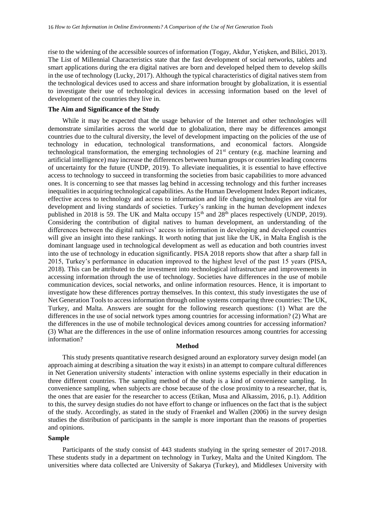rise to the widening of the accessible sources of information (Togay, Akdur, Yetişken, and Bilici, 2013). The List of Millennial Characteristics state that the fast development of social networks, tablets and smart applications during the era digital natives are born and developed helped them to develop skills in the use of technology (Lucky, 2017). Although the typical characteristics of digital natives stem from the technological devices used to access and share information brought by globalization, it is essential to investigate their use of technological devices in accessing information based on the level of development of the countries they live in.

## **The Aim and Significance of the Study**

While it may be expected that the usage behavior of the Internet and other technologies will demonstrate similarities across the world due to globalization, there may be differences amongst countries due to the cultural diversity, the level of development impacting on the policies of the use of technology in education, technological transformations, and economical factors. Alongside technological transformation, the emerging technologies of 21<sup>st</sup> century (e.g. machine learning and artificial intelligence) may increase the differences between human groups or countries leading concerns of uncertainty for the future (UNDP, 2019). To alleviate inequalities, it is essential to have effective access to technology to succeed in transforming the societies from basic capabilities to more advanced ones. It is concerning to see that masses lag behind in accessing technology and this further increases inequalities in acquiring technological capabilities. As the Human Development Index Report indicates, effective access to technology and access to information and life changing technologies are vital for development and living standards of societies. Turkey's ranking in the human development indexes published in 2018 is 59. The UK and Malta occupy 15<sup>th</sup> and 28<sup>th</sup> places respectively (UNDP, 2019). Considering the contribution of digital natives to human development, an understanding of the differences between the digital natives' access to information in developing and developed countries will give an insight into these rankings. It worth noting that just like the UK, in Malta English is the dominant language used in technological development as well as education and both countries invest into the use of technology in education significantly. PISA 2018 reports show that after a sharp fall in 2015, Turkey's performance in education improved to the highest level of the past 15 years (PISA, 2018). This can be attributed to the investment into technological infrastructure and improvements in accessing information through the use of technology. Societies have differences in the use of mobile communication devices, social networks, and online information resources. Hence, it is important to investigate how these differences portray themselves. In this context, this study investigates the use of Net Generation Tools to access information through online systems comparing three countries: The UK, Turkey, and Malta. Answers are sought for the following research questions: (1) What are the differences in the use of social network types among countries for accessing information? (2) What are the differences in the use of mobile technological devices among countries for accessing information? (3) What are the differences in the use of online information resources among countries for accessing information?

#### **Method**

This study presents quantitative research designed around an exploratory survey design model (an approach aiming at describing a situation the way it exists) in an attempt to compare cultural differences in Net Generation university students' interaction with online systems especially in their education in three different countries. The sampling method of the study is a kind of convenience sampling. In convenience sampling, when subjects are chose because of the close proximity to a researcher, that is, the ones that are easier for the researcher to access (Etikan, Musa and Alkassim, 2016, p.1). Addition to this, the survey design studies do not have effort to change or influences on the fact that is the subject of the study. Accordingly, as stated in the study of Fraenkel and Wallen (2006) in the survey design studies the distribution of participants in the sample is more important than the reasons of properties and opinions.

## **Sample**

Participants of the study consist of 443 students studying in the spring semester of 2017-2018. These students study in a department on technology in Turkey, Malta and the United Kingdom. The universities where data collected are University of Sakarya (Turkey), and Middlesex University with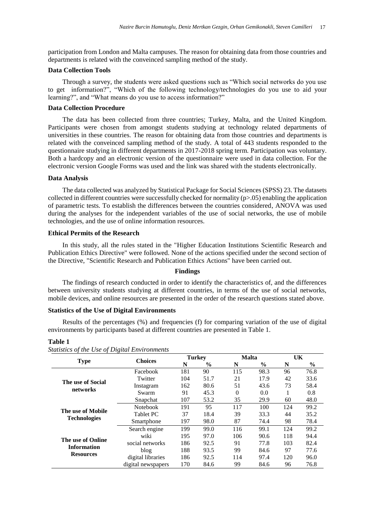participation from London and Malta campuses. The reason for obtaining data from those countries and departments is related with the conveinced sampling method of the study.

### **Data Collection Tools**

Through a survey, the students were asked questions such as "Which social networks do you use to get information?", "Which of the following technology/technologies do you use to aid your learning?", and "What means do you use to access information?"

## **Data Collection Procedure**

The data has been collected from three countries; Turkey, Malta, and the United Kingdom. Participants were chosen from amongst students studying at technology related departments of universities in these countries. The reason for obtaining data from those countries and departments is related with the conveinced sampling method of the study. A total of 443 students responded to the questionnaire studying in different departments in 2017-2018 spring term. Participation was voluntary. Both a hardcopy and an electronic version of the questionnaire were used in data collection. For the electronic version Google Forms was used and the link was shared with the students electronically.

## **Data Analysis**

The data collected was analyzed by Statistical Package for Social Sciences (SPSS) 23. The datasets collected in different countries were successfully checked for normality  $(p>0.05)$  enabling the application of parametric tests. To establish the differences between the countries considered, ANOVA was used during the analyses for the independent variables of the use of social networks, the use of mobile technologies, and the use of online information resources.

## **Ethical Permits of the Research**

In this study, all the rules stated in the "Higher Education Institutions Scientific Research and Publication Ethics Directive" were followed. None of the actions specified under the second section of the Directive, "Scientific Research and Publication Ethics Actions" have been carried out.

#### **Findings**

The findings of research conducted in order to identify the characteristics of, and the differences between university students studying at different countries, in terms of the use of social networks, mobile devices, and online resources are presented in the order of the research questions stated above.

## **Statistics of the Use of Digital Environments**

Results of the percentages (%) and frequencies (f) for comparing variation of the use of digital environments by participants based at different countries are presented in Table 1.

#### **Table 1**

|                     | <b>Choices</b>     | <b>Turkey</b> |               | <b>Malta</b> |               | UK  |               |
|---------------------|--------------------|---------------|---------------|--------------|---------------|-----|---------------|
| <b>Type</b>         |                    | N             | $\frac{0}{0}$ | N            | $\frac{0}{0}$ | N   | $\frac{6}{6}$ |
|                     | Facebook           | 181           | 90            | 115          | 98.3          | 96  | 76.8          |
| The use of Social   | Twitter            | 104           | 51.7          | 21           | 17.9          | 42  | 33.6          |
|                     | Instagram          | 162           | 80.6          | 51           | 43.6          | 73  | 58.4          |
| networks            | Swarm              | 91            | 45.3          | $\Omega$     | 0.0           |     | 0.8           |
|                     | Snapchat           | 107           | 53.2          | 35           | 29.9          | 60  | 48.0          |
|                     | <b>Notebook</b>    | 191           | 95            | 117          | 100           | 124 | 99.2          |
| The use of Mobile   | <b>Tablet PC</b>   | 37            | 18.4          | 39           | 33.3          | 44  | 35.2          |
| <b>Technologies</b> | Smartphone         | 197           | 98.0          | 87           | 74.4          | 98  | 78.4          |
|                     | Search engine      | 199           | 99.0          | 116          | 99.1          | 124 | 99.2          |
| The use of Online   | wiki               | 195           | 97.0          | 106          | 90.6          | 118 | 94.4          |
|                     | social networks    | 186           | 92.5          | 91           | 77.8          | 103 | 82.4          |
| <b>Information</b>  | blog               | 188           | 93.5          | 99           | 84.6          | 97  | 77.6          |
| <b>Resources</b>    | digital libraries  | 186           | 92.5          | 114          | 97.4          | 120 | 96.0          |
|                     | digital newspapers | 170           | 84.6          | 99           | 84.6          | 96  | 76.8          |

*Statistics of the Use of Digital Environments*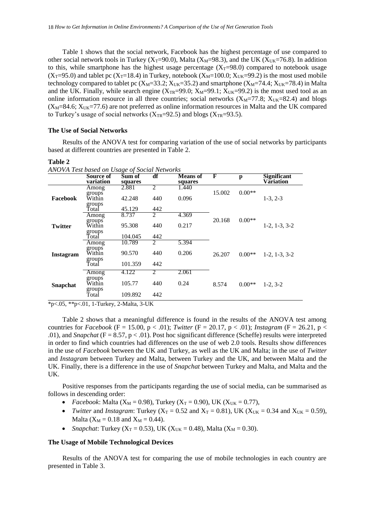Table 1 shows that the social network, Facebook has the highest percentage of use compared to other social network tools in Turkey ( $X_T=90.0$ ), Malta ( $X_M=98.3$ ), and the UK ( $X_{UK}=76.8$ ). In addition to this, while smartphone has the highest usage percentage  $(X_T=98.0)$  compared to notebook usage  $(X_T=95.0)$  and tablet pc  $(X_T=18.4)$  in Turkey, notebook  $(X_M=100.0; X_{UK}=99.2)$  is the most used mobile technology compared to tablet pc ( $X_M$ =33.2;  $X_{UK}$ =35.2) and smartphone ( $X_M$ =74.4;  $X_{UK}$ =78.4) in Malta and the UK. Finally, while search engine  $(X_{TR}=99.0; X_{M}=99.1; X_{UK}=99.2)$  is the most used tool as an online information resource in all three countries; social networks  $(X_M=77.8; X_{UK}=82.4)$  and blogs  $(X_M=84.6; X_{UK}=77.6)$  are not preferred as online information resources in Malta and the UK compared to Turkey's usage of social networks ( $X_{TR}=92.5$ ) and blogs ( $X_{TR}=93.5$ ).

## **The Use of Social Networks**

Results of the ANOVA test for comparing variation of the use of social networks by participants based at different countries are presented in Table 2.

## **Table 2**

|                 | Source of<br>variation     | Sum of<br>squares | df                          | <b>Means of</b><br>squares | F      | p        | <b>Significant</b><br>Variation |
|-----------------|----------------------------|-------------------|-----------------------------|----------------------------|--------|----------|---------------------------------|
| Facebook        | Among<br>groups            | 2.881             | $\overline{\mathcal{L}}$    | 1.440                      | 15.002 | $0.00**$ |                                 |
|                 | Within<br>groups           | 42.248            | 440                         | 0.096                      |        |          | $1-3, 2-3$                      |
|                 | Total                      | 45.129            | 442                         |                            |        |          |                                 |
|                 | Among<br>groups            | 8.737             | 2                           | 4.369                      | 20.168 | $0.00**$ |                                 |
| <b>Twitter</b>  | Within                     | 95.308            | 440                         | 0.217                      |        |          | $1-2, 1-3, 3-2$                 |
|                 | groups<br>Totaİ            | 104.045           | 442                         |                            |        |          |                                 |
|                 | Among<br>groups            | 10.789            | 2                           | 5.394                      |        |          |                                 |
| Instagram       | Within                     | 90.570            | 440                         | 0.206                      | 26.207 | $0.00**$ | $1-2, 1-3, 3-2$                 |
|                 | groups<br>Total            | 101.359           | 442                         |                            |        |          |                                 |
| <b>Snapchat</b> | Among                      | 4.122             | $\mathcal{D}_{\mathcal{L}}$ | 2.061                      |        |          |                                 |
|                 | groups<br>Within<br>groups | 105.77            | 440                         | 0.24                       | 8.574  | $0.00**$ | $1-2, 3-2$                      |
|                 | Total                      | 109.892           | 442                         |                            |        |          |                                 |

*ANOVA Test based on Usage of Social Networks*

\*p<.05, \*\*p<.01, 1-Turkey, 2-Malta, 3-UK

Table 2 shows that a meaningful difference is found in the results of the ANOVA test among countries for *Facebook* (F = 15.00, p < .01); *Twitter* (F = 20.17, p < .01); *Instagram* (F = 26.21, p < .01), and *Snapchat* (F = 8.57, p < .01). Post hoc significant difference (Scheffe) results were interpreted in order to find which countries had differences on the use of web 2.0 tools. Results show differences in the use of *Facebook* between the UK and Turkey, as well as the UK and Malta; in the use of *Twitter* and *Instagram* between Turkey and Malta, between Turkey and the UK, and between Malta and the UK. Finally, there is a difference in the use of *Snapchat* between Turkey and Malta, and Malta and the UK.

Positive responses from the participants regarding the use of social media, can be summarised as follows in descending order:

- *Facebook*: Malta ( $X_M = 0.98$ ), Turkey ( $X_T = 0.90$ ), UK ( $X_{UK} = 0.77$ ),
- Twitter and *Instagram*: Turkey ( $X_T = 0.52$  and  $X_T = 0.81$ ), UK ( $X_{UK} = 0.34$  and  $X_{UK} = 0.59$ ), Malta ( $X_M = 0.18$  and  $X_M = 0.44$ ).
- *Snapchat*: Turkey ( $X_T = 0.53$ ), UK ( $X_{UK} = 0.48$ ), Malta ( $X_M = 0.30$ ).

## **The Usage of Mobile Technological Devices**

Results of the ANOVA test for comparing the use of mobile technologies in each country are presented in Table 3.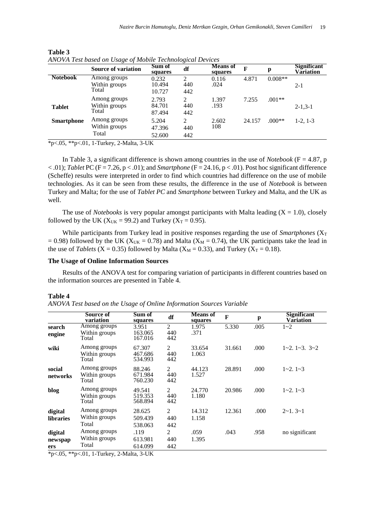|                   | <b>Source of variation</b>             | Sum of<br>squares         | df                                          | <b>Means of</b><br>squares | F      | p         | <b>Significant</b><br>Vāriation |
|-------------------|----------------------------------------|---------------------------|---------------------------------------------|----------------------------|--------|-----------|---------------------------------|
| <b>Notebook</b>   | Among groups<br>Within groups<br>Total | 0.232<br>10.494<br>10.727 | ↑<br>440<br>442                             | 0.116<br>.024              | 4.871  | $0.008**$ | $2 - 1$                         |
| <b>Tablet</b>     | Among groups<br>Within groups<br>Total | 2.793<br>84.701<br>87.494 | $\mathfrak{D}_{\mathfrak{p}}$<br>440<br>442 | 1.397<br>.193              | 7.255  | $.001**$  | $2 - 1, 3 - 1$                  |
| <b>Smartphone</b> | Among groups<br>Within groups<br>Total | 5.204<br>47.396<br>52.600 | $\mathfrak{D}_{\mathfrak{p}}$<br>440<br>442 | 2.602<br>108               | 24.157 | $.000**$  | $1-2, 1-3$                      |

**Table 3** *ANOVA Test based on Usage of Mobile Technological Devices*

 $*_{p < .05, *p < .01, 1-Turkey, 2-Malta, 3-UK}$ 

In Table 3, a significant difference is shown among countries in the use of *Notebook* ( $F = 4.87$ , p  $< .01$ ); *Tablet* PC (F = 7.26, p  $< .01$ ); and *Smartphone* (F = 24.16, p  $< .01$ ). Post hoc significant difference (Scheffe) results were interpreted in order to find which countries had difference on the use of mobile technologies. As it can be seen from these results, the difference in the use of *Notebook* is between Turkey and Malta; for the use of *Tablet PC* and *Smartphone* between Turkey and Malta, and the UK as well.

The use of *Notebooks* is very popular amongst participants with Malta leading  $(X = 1.0)$ , closely followed by the UK ( $X_{UK}$  = 99.2) and Turkey ( $X_T$  = 0.95).

While participants from Turkey lead in positive responses regarding the use of *Smartphones*  $(X_T)$  $= 0.98$ ) followed by the UK (X<sub>UK</sub> = 0.78) and Malta (X<sub>M</sub> = 0.74), the UK participants take the lead in the use of *Tablets* (X = 0.35) followed by Malta (X<sub>M</sub> = 0.33), and Turkey (X<sub>T</sub> = 0.18).

#### **The Usage of Online Information Sources**

Results of the ANOVA test for comparing variation of participants in different countries based on the information sources are presented in Table 4.

#### **Table 4**

| ANOVA Test based on the Usage of Online Information Sources Variable |  |  |  |  |
|----------------------------------------------------------------------|--|--|--|--|
|----------------------------------------------------------------------|--|--|--|--|

|                             | Source of<br>variation                 | Sum of<br>squares            | df                           | <b>Means</b> of<br>squares | $\mathbf{F}$ | p     | <b>Significant</b><br>Variation |
|-----------------------------|----------------------------------------|------------------------------|------------------------------|----------------------------|--------------|-------|---------------------------------|
| search<br>engine            | Among groups<br>Within groups<br>Total | 3.951<br>163.065<br>167.016  | $\overline{c}$<br>440<br>442 | 1.975<br>.371              | 5.330        | .005  | $1 - 2$                         |
| wiki                        | Among groups<br>Within groups<br>Total | 67.307<br>467.686<br>534.993 | 2<br>440<br>442              | 33.654<br>1.063            | 31.661       | .000. | $1\sim2.1\sim3.3\sim2$          |
| social<br>networks          | Among groups<br>Within groups<br>Total | 88.246<br>671.984<br>760.230 | $\overline{c}$<br>440<br>442 | 44.123<br>1.527            | 28.891       | .000. | $1 - 2$ , $1 - 3$               |
| blog                        | Among groups<br>Within groups<br>Total | 49.541<br>519.353<br>568.894 | 2<br>440<br>442              | 24.770<br>1.180            | 20.986       | .000. | $1 - 2$ , $1 - 3$               |
| digital<br><b>libraries</b> | Among groups<br>Within groups<br>Total | 28.625<br>509.439<br>538.063 | $\overline{2}$<br>440<br>442 | 14.312<br>1.158            | 12.361       | .000  | $2 \sim 1.3 \sim 1$             |
| digital<br>newspap<br>ers   | Among groups<br>Within groups<br>Total | .119<br>613.981<br>614.099   | $\overline{c}$<br>440<br>442 | .059<br>1.395              | .043         | .958  | no significant                  |

\*p<.05, \*\*p<.01, 1-Turkey, 2-Malta, 3-UK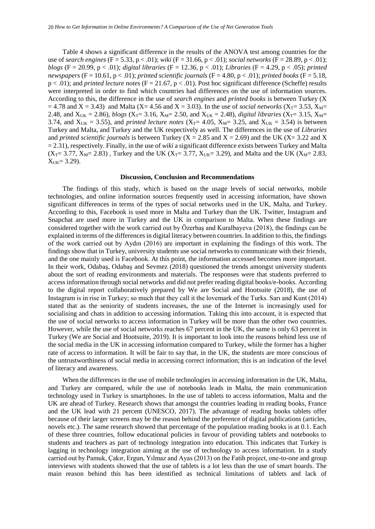Table 4 shows a significant difference in the results of the ANOVA test among countries for the use of *search engines* (F = 5.33, p < .01); *wiki* (F = 31.66, p < .01); *social networks* (F = 28.89, p < .01); *blogs* (F = 20.99, p < .01); *digital libraries* (F = 12.36, p < .01); *Libraries* (F = 4.29, p < .05); *printed newspapers* (F = 10.61, p < .01); *printed scientific journals* (F = 4.80, p < .01); *printed books* (F = 5.18, p < .01); and *printed lecture notes* (F = 21.67, p < .01). Post hoc significant difference (Scheffe) results were interpreted in order to find which countries had differences on the use of information sources. According to this, the difference in the use of *search engines* and *printed books* is between Turkey (X  $= 4.78$  and X = 3.43) and Malta (X = 4.56 and X = 3.03). In the use of *social networks* (X<sub>T</sub> = 3.53, X<sub>M</sub>= 2.48, and  $X_{\text{UK}} = 2.86$ , *blogs* (X<sub>T</sub>= 3.16, X<sub>M</sub>= 2.50, and X<sub>UK</sub> = 2.48), *digital libraries* (X<sub>T</sub>= 3.15, X<sub>M</sub>= 3.74, and  $X_{UK} = 3.55$ ), and *printed lecture notes* ( $X_{T} = 4.05$ ,  $X_{M} = 3.25$ , and  $X_{UK} = 3.54$ ) is between Turkey and Malta, and Turkey and the UK respectively as well. The differences in the use of *Libraries* and *printed scientific journals* is between Turkey ( $X = 2.85$  and  $X = 2.69$ ) and the UK ( $X = 3.22$  and X = 2.31), respectively. Finally, in the use of *wiki* a significant difference exists between Turkey and Malta  $(X_T = 3.77, X_M = 2.83)$ , Turkey and the UK  $(X_T = 3.77, X_{UK} = 3.29)$ , and Malta and the UK  $(X_M = 2.83, X_M = 2.83)$  $X_{UK} = 3.29$ .

## **Discussion, Conclusion and Recommendations**

The findings of this study, which is based on the usage levels of social networks, mobile technologies, and online information sources frequently used in accessing information, have shown significant differences in terms of the types of social networks used in the UK, Malta, and Turkey. According to this, Facebook is used more in Malta and Turkey than the UK. Twitter, Instagram and Snapchat are used more in Turkey and the UK in comparison to Malta. When these findings are considered together with the work carried out by Özerbaş and Kuralbayeva (2018), the findings can be explained in terms of the differences in digital literacy between countries. In addition to this, the findings of the work carried out by Aydın (2016) are important in explaining the findings of this work. The findings show that in Turkey, university students use social networks to communicate with their friends, and the one mainly used is Facebook. At this point, the information accessed becomes more important. In their work, Odabaş, Odabaş and Sevmez (2018) questioned the trends amongst university students about the sort of reading environments and materials. The responses were that students preferred to access information through social networks and did not prefer reading digital books/e-books. According to the digital report collaboratively prepared by We are Social and Hootsuite (2018), the use of Instagram is in rise in Turkey; so much that they call it the lovemark of the Turks. Sarı and Kunt (2014) stated that as the seniority of students increases, the use of the Internet is increasingly used for socialising and chats in addition to accessing information. Taking this into account, it is expected that the use of social networks to access information in Turkey will be more than the other two countries. However, while the use of social networks reaches 67 percent in the UK, the same is only 63 percent in Turkey (We are Social and Hootsuite, 2019). It is important to look into the reasons behind less use of the social media in the UK in accessing information compared to Turkey, while the former has a higher rate of access to information. It will be fair to say that, in the UK, the students are more conscious of the untrustworthiness of social media in accessing correct information; this is an indication of the level of literacy and awareness.

When the differences in the use of mobile technologies in accessing information in the UK, Malta, and Turkey are compared, while the use of notebooks leads in Malta, the main communication technology used in Turkey is smartphones. In the use of tablets to access information, Malta and the UK are ahead of Turkey. Research shows that amongst the countries leading in reading books, France and the UK lead with 21 percent (UNESCO, 2017). The advantage of reading books tablets offer because of their larger screens may be the reason behind the preference of digital publications (articles, novels etc.). The same research showed that percentage of the population reading books is at 0.1. Each of these three countries, follow educational policies in favour of providing tablets and notebooks to students and teachers as part of technology integration into education. This indicates that Turkey is lagging in technology integration aiming at the use of technology to access information. In a study carried out by Pamuk, Çakır, Ergun, Yılmaz and Ayas (2013) on the Fatih project, one-to-one and group interviews with students showed that the use of tablets is a lot less than the use of smart boards. The main reason behind this has been identified as technical limitations of tablets and lack of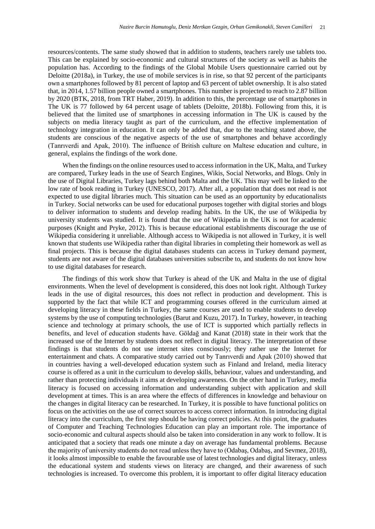resources/contents. The same study showed that in addition to students, teachers rarely use tablets too. This can be explained by socio-economic and cultural structures of the society as well as habits the population has. According to the findings of the Global Mobile Users questionnaire carried out by Deloitte (2018a), in Turkey, the use of mobile services is in rise, so that 92 percent of the participants own a smartphones followed by 81 percent of laptop and 63 percent of tablet ownership. It is also stated that, in 2014, 1.57 billion people owned a smartphones. This number is projected to reach to 2.87 billion by 2020 (BTK, 2018, from TRT Haber, 2019). In addition to this, the percentage use of smartphones in The UK is 77 followed by 64 percent usage of tablets (Deloitte, 2018b). Following from this, it is believed that the limited use of smartphones in accessing information in The UK is caused by the subjects on media literacy taught as part of the curriculum, and the effective implementation of technology integration in education. It can only be added that, due to the teaching stated above, the students are conscious of the negative aspects of the use of smartphones and behave accordingly (Tanrıverdi and Apak, 2010). The influence of British culture on Maltese education and culture, in general, explains the findings of the work done.

When the findings on the online resources used to access information in the UK, Malta, and Turkey are compared, Turkey leads in the use of Search Engines, Wikis, Social Networks, and Blogs. Only in the use of Digital Libraries, Turkey lags behind both Malta and the UK. This may well be linked to the low rate of book reading in Turkey (UNESCO, 2017). After all, a population that does not read is not expected to use digital libraries much. This situation can be used as an opportunity by educationalists in Turkey. Social networks can be used for educational purposes together with digital stories and blogs to deliver information to students and develop reading habits. In the UK, the use of Wikipedia by university students was studied. It is found that the use of Wikipedia in the UK is not for academic purposes (Knight and Pryke, 2012). This is because educational establishments discourage the use of Wikipedia considering it unreliable. Although access to Wikipedia is not allowed in Turkey, it is well known that students use Wikipedia rather than digital libraries in completing their homework as well as final projects. This is because the digital databases students can access in Turkey demand payment, students are not aware of the digital databases universities subscribe to, and students do not know how to use digital databases for research.

The findings of this work show that Turkey is ahead of the UK and Malta in the use of digital environments. When the level of development is considered, this does not look right. Although Turkey leads in the use of digital resources, this does not reflect in production and development. This is supported by the fact that while ICT and programming courses offered in the curriculum aimed at developing literacy in these fields in Turkey, the same courses are used to enable students to develop systems by the use of computing technologies (Barut and Kuzu, 2017). In Turkey, however, in teaching science and technology at primary schools, the use of ICT is supported which partially reflects in benefits, and level of education students have. Göldağ and Kanat (2018) state in their work that the increased use of the Internet by students does not reflect in digital literacy. The interpretation of these findings is that students do not use internet sites consciously; they rather use the Internet for entertainment and chats. A comparative study carried out by Tanrıverdi and Apak (2010) showed that in countries having a well-developed education system such as Finland and Ireland, media literacy course is offered as a unit in the curriculum to develop skills, behaviour, values and understanding, and rather than protecting individuals it aims at developing awareness. On the other hand in Turkey, media literacy is focused on accessing information and understanding subject with application and skill development at times. This is an area where the effects of differences in knowledge and behaviour on the changes in digital literacy can be researched. In Turkey, it is possible to have functional politics on focus on the activities on the use of correct sources to access correct information. In introducing digital literacy into the curriculum, the first step should be having correct policies. At this point, the graduates of Computer and Teaching Technologies Education can play an important role. The importance of socio-economic and cultural aspects should also be taken into consideration in any work to follow. It is anticipated that a society that reads one minute a day on average has fundamental problems. Because the majority of university students do not read unless they have to (Odabaş, Odabaş, and Sevmez, 2018), it looks almost impossible to enable the favourable use of latest technologies and digital literacy, unless the educational system and students views on literacy are changed, and their awareness of such technologies is increased. To overcome this problem, it is important to offer digital literacy education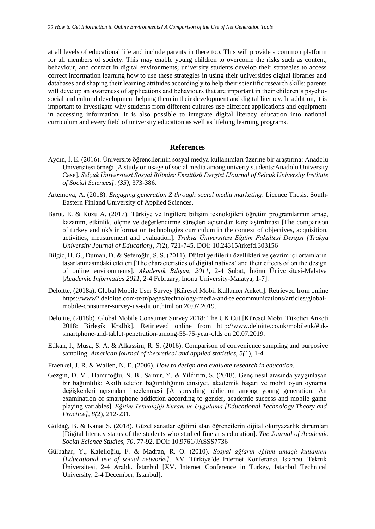at all levels of educational life and include parents in there too. This will provide a common platform for all members of society. This may enable young children to overcome the risks such as content, behaviour, and contact in digital environments; university students develop their strategies to access correct information learning how to use these strategies in using their universities digital libraries and databases and shaping their learning attitudes accordingly to help their scientific research skills; parents will develop an awareness of applications and behaviours that are important in their children's psychosocial and cultural development helping them in their development and digital literacy. In addition, it is important to investigate why students from different cultures use different applications and equipment in accessing information. It is also possible to integrate digital literacy education into national curriculum and every field of university education as well as lifelong learning programs.

## **References**

- Aydın, İ. E. (2016). Üniversite öğrencilerinin sosyal medya kullanımları üzerine bir araştırma: Anadolu Üniversitesi örneği [A study on usage of social media among univerty students:Anadolu University Case]. *Selçuk Üniversitesi Sosyal Bilimler Enstitüsü Dergisi [Journal of Selcuk University Institute of Social Sciences], (35),* 373-386.
- Artemova, A. (2018). *Engaging generation Z through social media marketing*. Licence Thesis, South-Eastern Finland University of Applied Sciences.
- Barut, E. & Kuzu A. (2017). Türkiye ve İngiltere bilişim teknolojileri öğretim programlarının amaç, kazanım, etkinlik, ölçme ve değerlendirme süreçleri açısından karşılaştırılması [The comparison of turkey and uk's information technologies curriculum in the context of objectives, acquisition, activities, measurement and evaluation]. *Trakya Üniversitesi Eğitim Fakültesi Dergisi [Trakya University Journal of Education], 7*(2), 721-745. DOI: 10.24315/trkefd.303156
- Bilgiç, H. G., Duman, D. & Seferoğlu, S. S. (2011). Dijital yerlilerin özellikleri ve çevrim içi ortamların tasarlanmasındaki etkileri [The characteristics of digital natives' and their effects of on the design of online environments]. *Akademik Bilişim, 2011,* 2-4 Şubat, İnönü Üniversitesi-Malatya [*Academic Informatics 2011,* 2-4 February, Inonu University-Malatya, 1-7].
- Deloitte, (2018a). Global Mobile User Survey [Küresel Mobil Kullanıcı Anketi]. Retrieved from online https://www2.deloitte.com/tr/tr/pages/technology-media-and-telecommunications/articles/globalmobile-consumer-survey-us-edition.html on 20.07.2019.
- Deloitte, (2018b). Global Mobile Consumer Survey 2018: The UK Cut [Küresel Mobil Tüketici Anketi 2018: Birleşik Krallık]. Retirieved online from [http://www.deloitte.co.uk/mobileuk/#uk](http://www.deloitte.co.uk/mobileuk/#uk-smartphone-and-tablet-penetration-among-55-75-year-olds)[smartphone-and-tablet-penetration-among-55-75-year-olds](http://www.deloitte.co.uk/mobileuk/#uk-smartphone-and-tablet-penetration-among-55-75-year-olds) on 20.07.2019.
- Etikan, I., Musa, S. A. & Alkassim, R. S. (2016). Comparison of convenience sampling and purposive sampling. *American journal of theoretical and applied statistics, 5(*1), 1-4.
- Fraenkel, J. R. & Wallen, N. E. (2006). *How to design and evaluate research in education.*
- Gezgin, D. M., Hamutoğlu, N. B., Samur, Y. & Yildirim, S. (2018). Genç nesil arasında yaygınlaşan bir bağımlılık: Akıllı telefon bağımlılığının cinsiyet, akademik başarı ve mobil oyun oynama değişkenleri açısından incelenmesi [A spreading addiction among young generation: An examination of smartphone addiction according to gender, academic success and mobile game playing variables]. *Eğitim Teknolojiji Kuram ve Uygulama [Educational Technology Theory and Practice], 8(*2), 212-231.
- Göldağ, B. & Kanat S. (2018). Güzel sanatlar eğitimi alan öğrencilerin dijital okuryazarlık durumları [Digital literacy status of the students who studied fine arts education]. *The Journal of Academic Social Science Studies, 70*, 77-92. DOI: 10.9761/JASSS7736
- Gülbahar, Y., Kalelioğlu, F. & Madran, R. O. (2010). *Sosyal ağların eğitim amaçlı kullanımı [Educational use of social networks].* XV. Türkiye'de İnternet Konferansı, İstanbul Teknik Üniversitesi, 2-4 Aralık, İstanbul [XV. Internet Conference in Turkey, Istanbul Technical University, 2-4 December, Istanbul].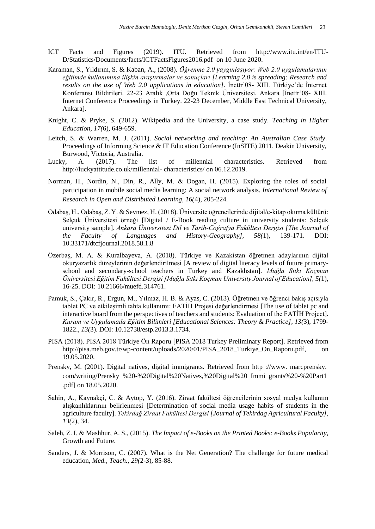- ICT Facts and Figures (2019). ITU. Retrieved from [http://www.itu.int/en/ITU-](http://www.itu.int/en/ITU-D/Statistics/Documents/facts/ICTFactsFigures2016.pdf)[D/Statistics/Documents/facts/ICTFactsFigures2016.pdf](http://www.itu.int/en/ITU-D/Statistics/Documents/facts/ICTFactsFigures2016.pdf) on 10 June 2020.
- Karaman, S., Yıldırım, S. & Kaban, A., (2008). *Öğrenme 2.0 yaygınlaşıyor: Web 2.0 uygulamalarının eğitimde kullanımına ilişkin araştırmalar ve sonuçları [Learning 2.0 is spreading: Research and results on the use of Web 2.0 applications in education]*. İnettr'08- XIII. Türkiye'de İnternet Konferansı Bildirileri. 22-23 Aralık ,Orta Doğu Teknik Üniversitesi, Ankara [İnettr'08- XIII. Internet Conference Proceedings in Turkey. 22-23 December, Middle East Technical University, Ankara].
- Knight, C. & Pryke, S. (2012). Wikipedia and the University, a case study. *Teaching in Higher Education, 17(*6), 649-659.
- Leitch, S. & Warren, M. J. (2011). *Social networking and teaching: An Australian Case Study*. Proceedings of Informing Science & IT Education Conference (InSITE) 2011. Deakin University, Burwood, Victoria, Australia.
- Lucky, A. (2017). The list of millennial characteristics. Retrieved from [http://luckyattitude.co.uk/millennial-](http://luckyattitude.co.uk/millennial-%20characteristics/) characteristics/ on 06.12.2019.
- Norman, H., Nordin, N., Din, R., Ally, M. & Dogan, H. (2015). Exploring the roles of social participation in mobile social media learning: A social network analysis. *International Review of Research in Open and Distributed Learning, 16(*4), 205-224.
- Odabaş, H., Odabaş, Z. Y. & Sevmez, H. (2018). Üniversite öğrencilerinde dijital/e-kitap okuma kültürü: Selçuk Üniversitesi örneği [Digital / E-Book reading culture in university students: Selçuk university sample]. *Ankara Üniversitesi Dil ve Tarih-Coğrafya Fakültesi Dergisi [The Journal of the Faculty of Languages and History-Geography], 58(*1), 139-171. DOI: 10.33171/dtcfjournal.2018.58.1.8
- Özerbaş, M. A. & Kuralbayeva, A. (2018). Türkiye ve Kazakistan öğretmen adaylarının dijital okuryazarlık düzeylerinin değerlendirilmesi [A review of digital literacy levels of future primaryschool and secondary-school teachers in Turkey and Kazakhstan]. *Muğla Sıtkı Koçman Üniversitesi Eğitim Fakültesi Dergisi [Muğla Sıtkı Koçman University Journal of Education], 5(*1), 16-25. DOI: 10.21666/muefd.314761.
- Pamuk, S., Çakır, R., Ergun, M., Yılmaz, H. B. & Ayas, C. (2013). Öğretmen ve öğrenci bakış açısıyla tablet PC ve etkileşimli tahta kullanımı: FATİH Projesi değerlendirmesi [The use of tablet pc and interactive board from the perspectives of teachers and students: Evaluation of the FATİH Project]. *Kuram ve Uygulamada Eğitim Bilimleri [Educational Sciences: Theory & Practice], 13(*3), 1799- 1822.*, 13(*3). DOI: 10.12738/estp.2013.3.1734.
- PISA (2018). PISA 2018 Türkiye Ön Raporu [PISA 2018 Turkey Preliminary Report]. Retrieved from [http://pisa.meb.gov.tr/wp-content/uploads/2020/01/PISA\\_2018\\_Turkiye\\_On\\_Raporu.pdf,](http://pisa.meb.gov.tr/wp-content/uploads/2020/01/PISA_2018_Turkiye_On_Raporu.pdf) on 19.05.2020.
- Prensky, M. (2001). Digital natives, digital immigrants. Retrieved from http ://www. marcprensky. com/writing/Prensky %20-%20Digital%20Natives,%20Digital%20 Immi grants%20-%20Part1 .pdf] on 18.05.2020.
- Sahin, A., Kaynakçi, C. & Aytop, Y. (2016). Ziraat fakültesi öğrencilerinin sosyal medya kullanım alışkanlıklarının belirlenmesi [Determination of social media usage habits of students in the agriculture faculty]. *Tekirdağ Ziraat Fakültesi Dergisi [Journal of Tekirdag Agricultural Faculty], 13(*2), 34.
- Saleh, Z. I. & Mashhur, A. S., (2015). *The Impact of e-Books on the Printed Books: e-Books Popularity*, Growth and Future.
- Sanders, J. & Morrison, C. (2007). What is the Net Generation? The challenge for future medical education, *Med., Teach., 29(*2-3), 85-88.